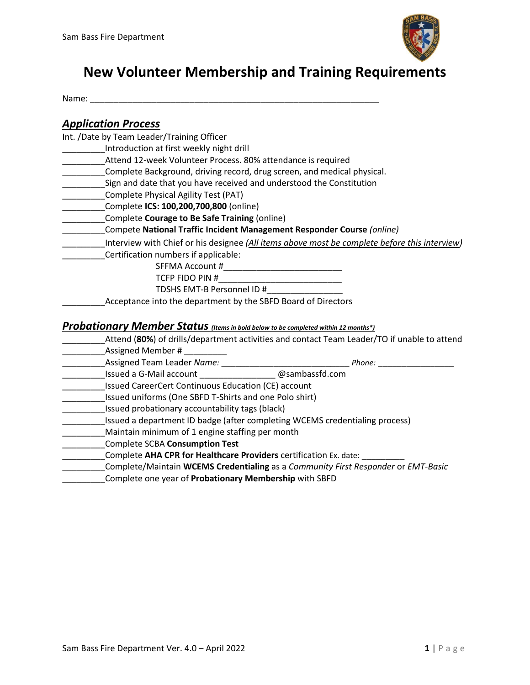

# **New Volunteer Membership and Training Requirements**

Name:

### *Application Process*

Int. /Date by Team Leader/Training Officer

- \_\_\_\_\_\_\_\_\_Introduction at first weekly night drill
- Attend 12-week Volunteer Process. 80% attendance is required
- \_\_\_\_\_\_\_\_\_Complete Background, driving record, drug screen, and medical physical.
- \_\_\_\_\_\_\_\_\_Sign and date that you have received and understood the Constitution
- \_\_\_\_\_\_\_\_\_Complete Physical Agility Test (PAT)
- \_\_\_\_\_\_\_\_\_Complete **ICS: 100,200,700,800** (online)
- \_\_\_\_\_\_\_\_\_Complete **Courage to Be Safe Training** (online)
- \_\_\_\_\_\_\_\_\_Compete **National Traffic Incident Management Responder Course** *(online)*
- \_\_\_\_\_\_\_\_\_Interview with Chief or his designee *(All items above most be complete before this interview)*
- \_\_\_\_\_\_\_\_\_Certification numbers if applicable:
	- SFFMA Account #\_\_\_\_\_\_\_\_\_\_\_\_\_\_\_\_\_\_\_\_\_\_\_\_\_
	- TCFP FIDO PIN #\_\_\_\_\_\_\_\_\_\_\_\_\_\_\_\_\_\_\_\_\_\_\_\_\_\_
	- TDSHS EMT-B Personnel ID #\_\_\_\_\_\_\_\_\_\_\_\_\_\_\_\_
	- Acceptance into the department by the SBFD Board of Directors

#### *Probationary Member Status (Items in bold below to be completed within 12 months\*)*

- \_\_\_\_\_\_\_\_\_Attend (**80%**) of drills/department activities and contact Team Leader/TO if unable to attend
- Assigned Member  $\#$  \_\_\_\_\_\_\_\_\_
- \_\_\_\_\_\_\_\_\_Assigned Team Leader *Name:* \_\_\_\_\_\_\_\_\_\_\_\_\_\_\_\_\_\_\_\_\_\_\_\_\_\_\_ *Phone:* \_\_\_\_\_\_\_\_\_\_\_\_\_\_\_\_
- \_\_\_\_\_\_\_\_\_Issued a G-Mail account \_\_\_\_\_\_\_\_\_\_\_\_\_\_\_\_ @sambassfd.com
- \_\_\_\_\_\_\_\_\_Issued CareerCert Continuous Education (CE) account
- \_\_\_\_\_\_\_\_\_Issued uniforms (One SBFD T-Shirts and one Polo shirt)
- \_\_\_\_\_\_\_\_\_Issued probationary accountability tags (black)
- \_\_\_\_\_\_\_\_\_Issued a department ID badge (after completing WCEMS credentialing process)
- \_\_\_\_\_\_\_\_\_Maintain minimum of 1 engine staffing per month
- \_\_\_\_\_\_\_\_\_Complete SCBA **Consumption Test**
- \_\_\_\_\_\_\_\_\_Complete **AHA CPR for Healthcare Providers** certification Ex. date: \_\_\_\_\_\_\_\_\_
- \_\_\_\_\_\_\_\_\_Complete/Maintain **WCEMS Credentialing** as a *Community First Responder* or *EMT-Basic*
- \_\_\_\_\_\_\_\_\_Complete one year of **Probationary Membership** with SBFD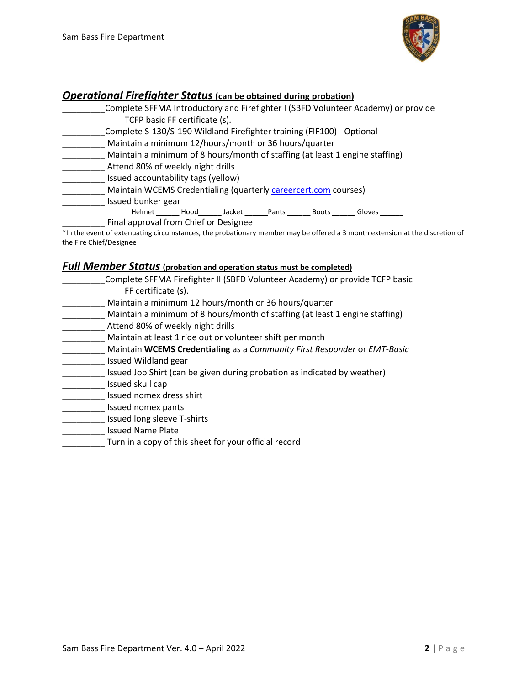

### *Operational Firefighter Status* **(can be obtained during probation)**

| Complete SFFMA Introductory and Firefighter I (SBFD Volunteer Academy) or provide |  |  |  |
|-----------------------------------------------------------------------------------|--|--|--|
| TCFP basic FF certificate (s).                                                    |  |  |  |
| Complete S-130/S-190 Wildland Firefighter training (FIF100) - Optional            |  |  |  |
| Maintain a minimum 12/hours/month or 36 hours/quarter                             |  |  |  |
| Maintain a minimum of 8 hours/month of staffing (at least 1 engine staffing)      |  |  |  |
| Attend 80% of weekly night drills                                                 |  |  |  |
| Issued accountability tags (yellow)                                               |  |  |  |
| Maintain WCEMS Credentialing (quarterly careercert.com courses)                   |  |  |  |
| Issued bunker gear                                                                |  |  |  |
| Helmet Hood Jacket Pants<br>Boots<br>Gloves                                       |  |  |  |
| Final approval from Chief or Designee                                             |  |  |  |

\*In the event of extenuating circumstances, the probationary member may be offered a 3 month extension at the discretion of the Fire Chief/Designee

## *Full Member Status* **(probation and operation status must be completed)**

| Complete SFFMA Firefighter II (SBFD Volunteer Academy) or provide TCFP basic |
|------------------------------------------------------------------------------|
| FF certificate (s).                                                          |
| Maintain a minimum 12 hours/month or 36 hours/quarter                        |
| Maintain a minimum of 8 hours/month of staffing (at least 1 engine staffing) |
| Attend 80% of weekly night drills                                            |
| Maintain at least 1 ride out or volunteer shift per month                    |
| Maintain WCEMS Credentialing as a Community First Responder or EMT-Basic     |
| Issued Wildland gear                                                         |
| Issued Job Shirt (can be given during probation as indicated by weather)     |

- \_\_\_\_\_\_\_\_\_ Issued skull cap
- \_\_\_\_\_\_\_\_\_ Issued nomex dress shirt
- \_\_\_\_\_\_\_\_\_ Issued nomex pants
- \_\_\_\_\_\_\_\_\_ Issued long sleeve T-shirts
- \_\_\_\_\_\_\_\_\_ Issued Name Plate
- \_\_\_\_\_\_\_\_\_ Turn in a copy of this sheet for your official record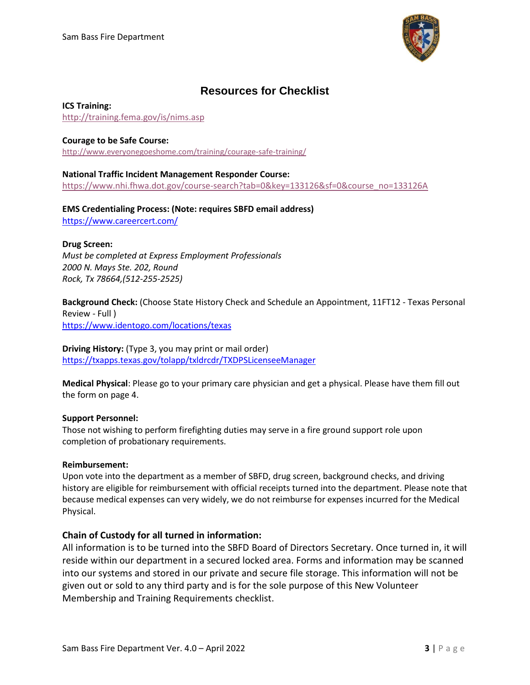

## **Resources for Checklist**

#### **ICS Training:**

<http://training.fema.gov/is/nims.asp>

#### **Courage to be Safe Course:**

<http://www.everyonegoeshome.com/training/courage-safe-training/>

#### **National Traffic Incident Management Responder Course:** [https://www.nhi.fhwa.dot.gov/course-search?tab=0&key=133126&sf=0&course\\_no=133126A](https://www.nhi.fhwa.dot.gov/course-search?tab=0&key=133126&sf=0&course_no=133126A)

**EMS Credentialing Process: (Note: requires SBFD email address)** <https://www.careercert.com/>

#### **Drug Screen:**

*Must be completed at Express Employment Professionals 2000 N. Mays Ste. 202, Round Rock, Tx 78664,(512-255-2525)*

**Background Check:** (Choose State History Check and Schedule an Appointment, 11FT12 - Texas Personal Review - Full ) <https://www.identogo.com/locations/texas>

#### **Driving History:** (Type 3, you may print or mail order)

<https://txapps.texas.gov/tolapp/txldrcdr/TXDPSLicenseeManager>

**Medical Physical**: Please go to your primary care physician and get a physical. Please have them fill out the form on page 4.

#### **Support Personnel:**

Those not wishing to perform firefighting duties may serve in a fire ground support role upon completion of probationary requirements.

#### **Reimbursement:**

Upon vote into the department as a member of SBFD, drug screen, background checks, and driving history are eligible for reimbursement with official receipts turned into the department. Please note that because medical expenses can very widely, we do not reimburse for expenses incurred for the Medical Physical.

#### **Chain of Custody for all turned in information:**

All information is to be turned into the SBFD Board of Directors Secretary. Once turned in, it will reside within our department in a secured locked area. Forms and information may be scanned into our systems and stored in our private and secure file storage. This information will not be given out or sold to any third party and is for the sole purpose of this New Volunteer Membership and Training Requirements checklist.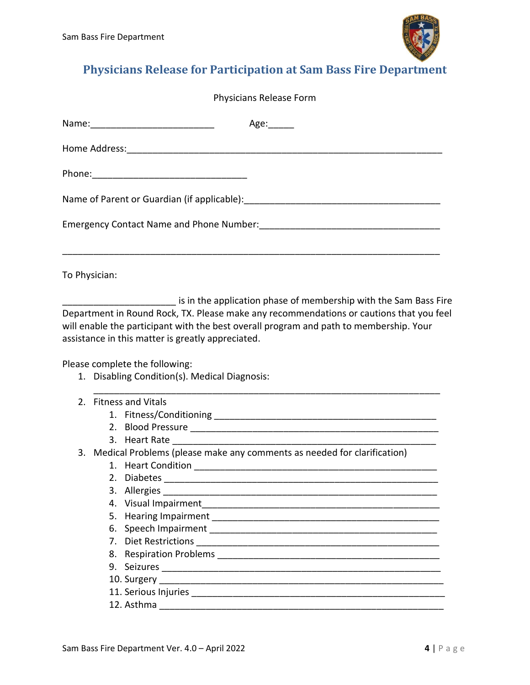

# **Physicians Release for Participation at Sam Bass Fire Department**

|  | Physicians Release Form |                                                                                                                                                                                                                                                                                                                           |  |  |
|--|-------------------------|---------------------------------------------------------------------------------------------------------------------------------------------------------------------------------------------------------------------------------------------------------------------------------------------------------------------------|--|--|
|  |                         | Age: $\_\_\_\_\_\_\_\$                                                                                                                                                                                                                                                                                                    |  |  |
|  |                         |                                                                                                                                                                                                                                                                                                                           |  |  |
|  |                         |                                                                                                                                                                                                                                                                                                                           |  |  |
|  |                         |                                                                                                                                                                                                                                                                                                                           |  |  |
|  |                         |                                                                                                                                                                                                                                                                                                                           |  |  |
|  | To Physician:           |                                                                                                                                                                                                                                                                                                                           |  |  |
|  |                         | Department in Round Rock, TX. Please make any recommendations or cautions that you feel<br>will enable the participant with the best overall program and path to membership. Your<br>assistance in this matter is greatly appreciated.<br>Please complete the following:<br>1. Disabling Condition(s). Medical Diagnosis: |  |  |
|  |                         | 2. Fitness and Vitals                                                                                                                                                                                                                                                                                                     |  |  |
|  |                         |                                                                                                                                                                                                                                                                                                                           |  |  |
|  |                         |                                                                                                                                                                                                                                                                                                                           |  |  |
|  |                         |                                                                                                                                                                                                                                                                                                                           |  |  |
|  |                         | 3. Medical Problems (please make any comments as needed for clarification)                                                                                                                                                                                                                                                |  |  |
|  |                         |                                                                                                                                                                                                                                                                                                                           |  |  |
|  |                         | 2. Diabetes                                                                                                                                                                                                                                                                                                               |  |  |
|  | 3.                      | Allergies                                                                                                                                                                                                                                                                                                                 |  |  |
|  | 4.                      | Visual Impairment and the contract of the contract of the contract of the contract of the contract of the contract of the contract of the contract of the contract of the contract of the contract of the contract of the cont                                                                                            |  |  |
|  | 5.                      |                                                                                                                                                                                                                                                                                                                           |  |  |
|  | 6.                      |                                                                                                                                                                                                                                                                                                                           |  |  |
|  | 7.                      |                                                                                                                                                                                                                                                                                                                           |  |  |
|  | 8.                      |                                                                                                                                                                                                                                                                                                                           |  |  |
|  |                         |                                                                                                                                                                                                                                                                                                                           |  |  |
|  |                         |                                                                                                                                                                                                                                                                                                                           |  |  |
|  |                         |                                                                                                                                                                                                                                                                                                                           |  |  |
|  |                         |                                                                                                                                                                                                                                                                                                                           |  |  |